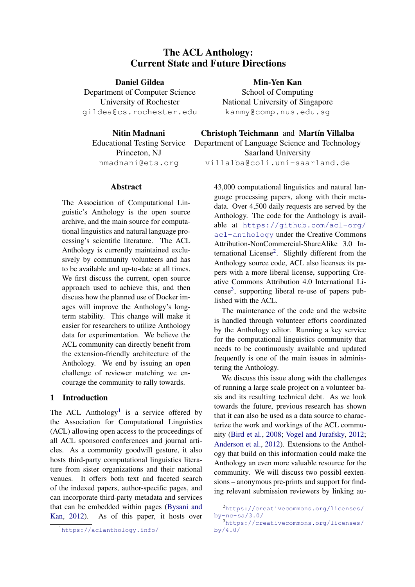# The ACL Anthology: Current State and Future Directions

Daniel Gildea Department of Computer Science University of Rochester gildea@cs.rochester.edu

Nitin Madnani Educational Testing Service Princeton, NJ nmadnani@ets.org

### Abstract

The Association of Computational Linguistic's Anthology is the open source archive, and the main source for computational linguistics and natural language processing's scientific literature. The ACL Anthology is currently maintained exclusively by community volunteers and has to be available and up-to-date at all times. We first discuss the current, open source approach used to achieve this, and then discuss how the planned use of Docker images will improve the Anthology's longterm stability. This change will make it easier for researchers to utilize Anthology data for experimentation. We believe the ACL community can directly benefit from the extension-friendly architecture of the Anthology. We end by issuing an open challenge of reviewer matching we encourage the community to rally towards.

### 1 Introduction

The ACL Anthology<sup>[1](#page-0-0)</sup> is a service offered by the Association for Computational Linguistics (ACL) allowing open access to the proceedings of all ACL sponsored conferences and journal articles. As a community goodwill gesture, it also hosts third-party computational linguistics literature from sister organizations and their national venues. It offers both text and faceted search of the indexed papers, author-specific pages, and can incorporate third-party metadata and services that can be embedded within pages [\(Bysani and](#page-5-0) [Kan,](#page-5-0) [2012\)](#page-5-0). As of this paper, it hosts over Min-Yen Kan

School of Computing National University of Singapore kanmy@comp.nus.edu.sg

Christoph Teichmann and Martín Villalba

Department of Language Science and Technology Saarland University

villalba@coli.uni-saarland.de

43,000 computational linguistics and natural language processing papers, along with their metadata. Over 4,500 daily requests are served by the Anthology. The code for the Anthology is available at [https://github.com/acl-org/](https://github.com/acl-org/acl-anthology) [acl-anthology](https://github.com/acl-org/acl-anthology) under the Creative Commons Attribution-NonCommercial-ShareAlike 3.0 In-ternational License<sup>[2](#page-0-1)</sup>. Slightly different from the Anthology source code, ACL also licenses its papers with a more liberal license, supporting Creative Commons Attribution 4.0 International Li- $cense<sup>3</sup>$  $cense<sup>3</sup>$  $cense<sup>3</sup>$ , supporting liberal re-use of papers published with the ACL.

The maintenance of the code and the website is handled through volunteer efforts coordinated by the Anthology editor. Running a key service for the computational linguistics community that needs to be continuously available and updated frequently is one of the main issues in administering the Anthology.

We discuss this issue along with the challenges of running a large scale project on a volunteer basis and its resulting technical debt. As we look towards the future, previous research has shown that it can also be used as a data source to characterize the work and workings of the ACL community [\(Bird et al.,](#page-5-1) [2008;](#page-5-1) [Vogel and Jurafsky,](#page-5-2) [2012;](#page-5-2) [Anderson et al.,](#page-5-3) [2012\)](#page-5-3). Extensions to the Anthology that build on this information could make the Anthology an even more valuable resource for the community. We will discuss two possibl eextensions – anonymous pre-prints and support for finding relevant submission reviewers by linking au-

<span id="page-0-0"></span><sup>1</sup><https://aclanthology.info/>

<span id="page-0-1"></span><sup>2</sup>[https://creativecommons.org/licenses/](https://creativecommons.org/licenses/by-nc-sa/3.0/) [by-nc-sa/3.0/](https://creativecommons.org/licenses/by-nc-sa/3.0/)

<span id="page-0-2"></span><sup>3</sup>[https://creativecommons.org/licenses/](https://creativecommons.org/licenses/by/4.0/) [by/4.0/](https://creativecommons.org/licenses/by/4.0/)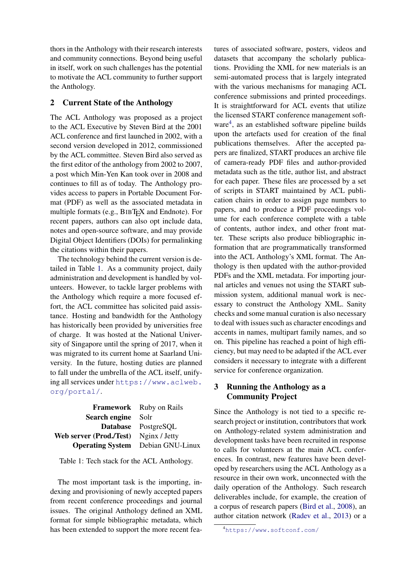thors in the Anthology with their research interests and community connections. Beyond being useful in itself, work on such challenges has the potential to motivate the ACL community to further support the Anthology.

# 2 Current State of the Anthology

The ACL Anthology was proposed as a project to the ACL Executive by Steven Bird at the 2001 ACL conference and first launched in 2002, with a second version developed in 2012, commissioned by the ACL committee. Steven Bird also served as the first editor of the anthology from 2002 to 2007, a post which Min-Yen Kan took over in 2008 and continues to fill as of today. The Anthology provides access to papers in Portable Document Format (PDF) as well as the associated metadata in multiple formats (e.g., BIBT<sub>E</sub>X and Endnote). For recent papers, authors can also opt include data, notes and open-source software, and may provide Digital Object Identifiers (DOIs) for permalinking the citations within their papers.

The technology behind the current version is detailed in Table [1.](#page-1-0) As a community project, daily administration and development is handled by volunteers. However, to tackle larger problems with the Anthology which require a more focused effort, the ACL committee has solicited paid assistance. Hosting and bandwidth for the Anthology has historically been provided by universities free of charge. It was hosted at the National University of Singapore until the spring of 2017, when it was migrated to its current home at Saarland University. In the future, hosting duties are planned to fall under the umbrella of the ACL itself, unifying all services under [https://www.aclweb.](https://www.aclweb.org/portal/) [org/portal/](https://www.aclweb.org/portal/).

|                                              | <b>Framework</b> Ruby on Rails           |
|----------------------------------------------|------------------------------------------|
| <b>Search engine</b> Solr                    |                                          |
|                                              | Database PostgreSQL                      |
| <b>Web server (Prod./Test)</b> Nginx / Jetty |                                          |
|                                              | <b>Operating System</b> Debian GNU-Linux |

<span id="page-1-0"></span>Table 1: Tech stack for the ACL Anthology.

The most important task is the importing, indexing and provisioning of newly accepted papers from recent conference proceedings and journal issues. The original Anthology defined an XML format for simple bibliographic metadata, which has been extended to support the more recent features of associated software, posters, videos and datasets that accompany the scholarly publications. Providing the XML for new materials is an semi-automated process that is largely integrated with the various mechanisms for managing ACL conference submissions and printed proceedings. It is straightforward for ACL events that utilize the licensed START conference management soft-ware<sup>[4](#page-1-1)</sup>, as an established software pipeline builds upon the artefacts used for creation of the final publications themselves. After the accepted papers are finalized, START produces an archive file of camera-ready PDF files and author-provided metadata such as the title, author list, and abstract for each paper. These files are processed by a set of scripts in START maintained by ACL publication chairs in order to assign page numbers to papers, and to produce a PDF proceedings volume for each conference complete with a table of contents, author index, and other front matter. These scripts also produce bibliographic information that are programmatically transformed into the ACL Anthology's XML format. The Anthology is then updated with the author-provided PDFs and the XML metadata. For importing journal articles and venues not using the START submission system, additional manual work is necessary to construct the Anthology XML. Sanity checks and some manual curation is also necessary to deal with issues such as character encodings and accents in names, multipart family names, and so on. This pipeline has reached a point of high efficiency, but may need to be adapted if the ACL ever considers it necessary to integrate with a different service for conference organization.

# 3 Running the Anthology as a Community Project

Since the Anthology is not tied to a specific research project or institution, contributors that work on Anthology-related system administration and development tasks have been recruited in response to calls for volunteers at the main ACL conferences. In contrast, new features have been developed by researchers using the ACL Anthology as a resource in their own work, unconnected with the daily operation of the Anthology. Such research deliverables include, for example, the creation of a corpus of research papers [\(Bird et al.,](#page-5-1) [2008\)](#page-5-1), an author citation network [\(Radev et al.,](#page-5-4) [2013\)](#page-5-4) or a

<span id="page-1-1"></span><sup>4</sup><https://www.softconf.com/>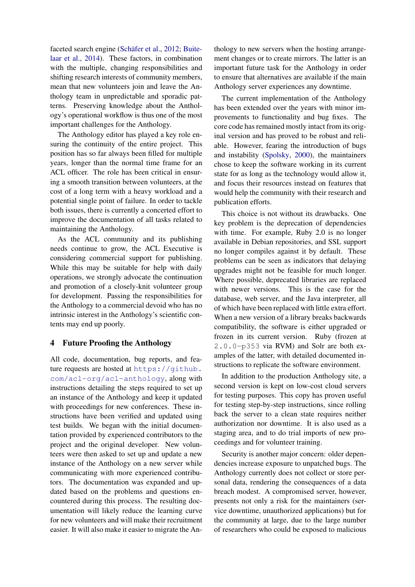faceted search engine (Schäfer et al., [2012;](#page-5-5) [Buite](#page-5-6)[laar et al.,](#page-5-6) [2014\)](#page-5-6). These factors, in combination with the multiple, changing responsibilities and shifting research interests of community members, mean that new volunteers join and leave the Anthology team in unpredictable and sporadic patterns. Preserving knowledge about the Anthology's operational workflow is thus one of the most important challenges for the Anthology.

The Anthology editor has played a key role ensuring the continuity of the entire project. This position has so far always been filled for multiple years, longer than the normal time frame for an ACL officer. The role has been critical in ensuring a smooth transition between volunteers, at the cost of a long term with a heavy workload and a potential single point of failure. In order to tackle both issues, there is currently a concerted effort to improve the documentation of all tasks related to maintaining the Anthology.

As the ACL community and its publishing needs continue to grow, the ACL Executive is considering commercial support for publishing. While this may be suitable for help with daily operations, we strongly advocate the continuation and promotion of a closely-knit volunteer group for development. Passing the responsibilities for the Anthology to a commercial devoid who has no intrinsic interest in the Anthology's scientific contents may end up poorly.

## 4 Future Proofing the Anthology

All code, documentation, bug reports, and feature requests are hosted at [https://github.](https://github.com/acl-org/acl-anthology) [com/acl-org/acl-anthology](https://github.com/acl-org/acl-anthology), along with instructions detailing the steps required to set up an instance of the Anthology and keep it updated with proceedings for new conferences. These instructions have been verified and updated using test builds. We began with the initial documentation provided by experienced contributors to the project and the original developer. New volunteers were then asked to set up and update a new instance of the Anthology on a new server while communicating with more experienced contributors. The documentation was expanded and updated based on the problems and questions encountered during this process. The resulting documentation will likely reduce the learning curve for new volunteers and will make their recruitment easier. It will also make it easier to migrate the Anthology to new servers when the hosting arrangement changes or to create mirrors. The latter is an important future task for the Anthology in order to ensure that alternatives are available if the main Anthology server experiences any downtime.

The current implementation of the Anthology has been extended over the years with minor improvements to functionality and bug fixes. The core code has remained mostly intact from its original version and has proved to be robust and reliable. However, fearing the introduction of bugs and instability [\(Spolsky,](#page-5-7) [2000\)](#page-5-7), the maintainers chose to keep the software working in its current state for as long as the technology would allow it, and focus their resources instead on features that would help the community with their research and publication efforts.

This choice is not without its drawbacks. One key problem is the deprecation of dependencies with time. For example, Ruby 2.0 is no longer available in Debian repositories, and SSL support no longer compiles against it by default. These problems can be seen as indicators that delaying upgrades might not be feasible for much longer. Where possible, deprecated libraries are replaced with newer versions. This is the case for the database, web server, and the Java interpreter, all of which have been replaced with little extra effort. When a new version of a library breaks backwards compatibility, the software is either upgraded or frozen in its current version. Ruby (frozen at 2.0.0-p353 via RVM) and Solr are both examples of the latter, with detailed documented instructions to replicate the software environment.

In addition to the production Anthology site, a second version is kept on low-cost cloud servers for testing purposes. This copy has proven useful for testing step-by-step instructions, since rolling back the server to a clean state requires neither authorization nor downtime. It is also used as a staging area, and to do trial imports of new proceedings and for volunteer training.

Security is another major concern: older dependencies increase exposure to unpatched bugs. The Anthology currently does not collect or store personal data, rendering the consequences of a data breach modest. A compromised server, however, presents not only a risk for the maintainers (service downtime, unauthorized applications) but for the community at large, due to the large number of researchers who could be exposed to malicious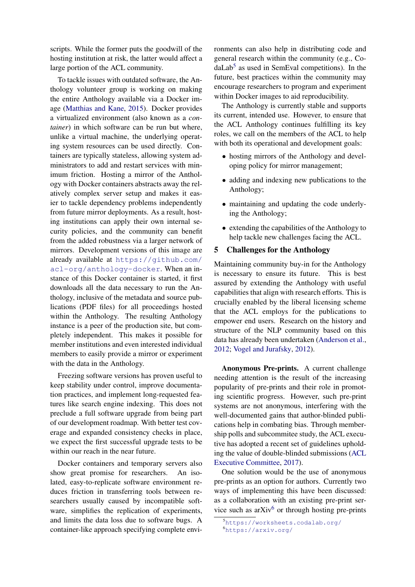scripts. While the former puts the goodwill of the hosting institution at risk, the latter would affect a large portion of the ACL community.

To tackle issues with outdated software, the Anthology volunteer group is working on making the entire Anthology available via a Docker image [\(Matthias and Kane,](#page-5-8) [2015\)](#page-5-8). Docker provides a virtualized environment (also known as a *container*) in which software can be run but where, unlike a virtual machine, the underlying operating system resources can be used directly. Containers are typically stateless, allowing system administrators to add and restart services with minimum friction. Hosting a mirror of the Anthology with Docker containers abstracts away the relatively complex server setup and makes it easier to tackle dependency problems independently from future mirror deployments. As a result, hosting institutions can apply their own internal security policies, and the community can benefit from the added robustness via a larger network of mirrors. Development versions of this image are already available at [https://github.com/](https://github.com/acl-org/anthology-docker) [acl-org/anthology-docker](https://github.com/acl-org/anthology-docker). When an instance of this Docker container is started, it first downloads all the data necessary to run the Anthology, inclusive of the metadata and source publications (PDF files) for all proceedings hosted within the Anthology. The resulting Anthology instance is a peer of the production site, but completely independent. This makes it possible for member institutions and even interested individual members to easily provide a mirror or experiment with the data in the Anthology.

Freezing software versions has proven useful to keep stability under control, improve documentation practices, and implement long-requested features like search engine indexing. This does not preclude a full software upgrade from being part of our development roadmap. With better test coverage and expanded consistency checks in place, we expect the first successful upgrade tests to be within our reach in the near future.

Docker containers and temporary servers also show great promise for researchers. An isolated, easy-to-replicate software environment reduces friction in transferring tools between researchers usually caused by incompatible software, simplifies the replication of experiments, and limits the data loss due to software bugs. A container-like approach specifying complete environments can also help in distributing code and general research within the community (e.g., Co-daLab<sup>[5](#page-3-0)</sup> as used in SemEval competitions). In the future, best practices within the community may encourage researchers to program and experiment within Docker images to aid reproducibility.

The Anthology is currently stable and supports its current, intended use. However, to ensure that the ACL Anthology continues fulfilling its key roles, we call on the members of the ACL to help with both its operational and development goals:

- hosting mirrors of the Anthology and developing policy for mirror management;
- adding and indexing new publications to the Anthology;
- maintaining and updating the code underlying the Anthology;
- extending the capabilities of the Anthology to help tackle new challenges facing the ACL.

### 5 Challenges for the Anthology

Maintaining community buy-in for the Anthology is necessary to ensure its future. This is best assured by extending the Anthology with useful capabilities that align with research efforts. This is crucially enabled by the liberal licensing scheme that the ACL employs for the publications to empower end users. Research on the history and structure of the NLP community based on this data has already been undertaken [\(Anderson et al.,](#page-5-3) [2012;](#page-5-3) [Vogel and Jurafsky,](#page-5-2) [2012\)](#page-5-2).

Anonymous Pre-prints. A current challenge needing attention is the result of the increasing popularity of pre-prints and their role in promoting scientific progress. However, such pre-print systems are not anonymous, interfering with the well-documented gains that author-blinded publications help in combating bias. Through membership polls and subcommitee study, the ACL executive has adopted a recent set of guidelines upholding the value of double-blinded submissions [\(ACL](#page-5-9) [Executive Committee,](#page-5-9) [2017\)](#page-5-9).

One solution would be the use of anonymous pre-prints as an option for authors. Currently two ways of implementing this have been discussed: as a collaboration with an existing pre-print service such as  $arXiv^6$  $arXiv^6$  or through hosting pre-prints

<span id="page-3-1"></span><span id="page-3-0"></span><sup>5</sup><https://worksheets.codalab.org/> <sup>6</sup><https://arxiv.org/>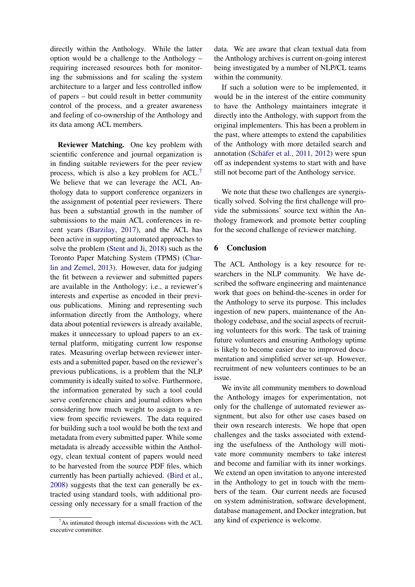directly within the Anthology. While the latter option would be a challenge to the Anthology – requiring increased resources both for monitoring the submissions and for scaling the system architecture to a larger and less controlled inflow of papers – but could result in better community control of the process, and a greater awareness and feeling of co-ownership of the Anthology and its data among ACL members.

Reviewer Matching. One key problem with scientific conference and journal organization is in finding suitable reviewers for the peer review process, which is also a key problem for ACL.[7](#page-4-0) We believe that we can leverage the ACL Anthology data to support conference organizers in the assignment of potential peer reviewers. There has been a substantial growth in the number of submissions to the main ACL conferences in recent years [\(Barzilay,](#page-5-10) [2017\)](#page-5-10), and the ACL has been active in supporting automated approaches to solve the problem [\(Stent and Ji,](#page-5-11) [2018\)](#page-5-11) such as the Toronto Paper Matching System (TPMS) [\(Char](#page-5-12)[lin and Zemel,](#page-5-12) [2013\)](#page-5-12). However, data for judging the fit between a reviewer and submitted papers are available in the Anthology; i.e., a reviewer's interests and expertise as encoded in their previous publications. Mining and representing such information directly from the Anthology, where data about potential reviewers is already available, makes it unnecessary to upload papers to an external platform, mitigating current low response rates. Measuring overlap between reviewer interests and a submitted paper, based on the reviewer's previous publications, is a problem that the NLP community is ideally suited to solve. Furthermore, the information generated by such a tool could serve conference chairs and journal editors when considering how much weight to assign to a review from specific reviewers. The data required for building such a tool would be both the text and metadata from every submitted paper. While some metadata is already accessible within the Anthology, clean textual content of papers would need to be harvested from the source PDF files, which currently has been partially achieved. [\(Bird et al.,](#page-5-1) [2008\)](#page-5-1) suggests that the text can generally be extracted using standard tools, with additional processing only necessary for a small fraction of the

<span id="page-4-0"></span> $7As$  intimated through internal discussions with the ACL executive committee.

data. We are aware that clean textual data from the Anthology archives is current on-going interest being investigated by a number of NLP/CL teams within the community.

If such a solution were to be implemented, it would be in the interest of the entire community to have the Anthology maintainers integrate it directly into the Anthology, with support from the original implementers. This has been a problem in the past, where attempts to extend the capabilities of the Anthology with more detailed search and annotation (Schäfer et al.,  $2011$ ,  $2012$ ) were spun off as independent systems to start with and have still not become part of the Anthology service.

We note that these two challenges are synergistically solved. Solving the first challenge will provide the submissions' source text within the Anthology framework and promote better coupling for the second challenge of reviewer matching.

### 6 Conclusion

The ACL Anthology is a key resource for researchers in the NLP community. We have described the software engineering and maintenance work that goes on behind-the-scenes in order for the Anthology to serve its purpose. This includes ingestion of new papers, maintenance of the Anthology codebase, and the social aspects of recruiting volunteers for this work. The task of training future volunteers and ensuring Anthology uptime is likely to become easier due to improved documentation and simplified server set-up. However, recruitment of new volunteers continues to be an issue.

We invite all community members to download the Anthology images for experimentation, not only for the challenge of automated reviewer assignment, but also for other use cases based on their own research interests. We hope that open challenges and the tasks associated with extending the usefulness of the Anthology will motivate more community members to take interest and become and familiar with its inner workings. We extend an open invitation to anyone interested in the Anthology to get in touch with the members of the team. Our current needs are focused on system administration, software development, database management, and Docker integration, but any kind of experience is welcome.